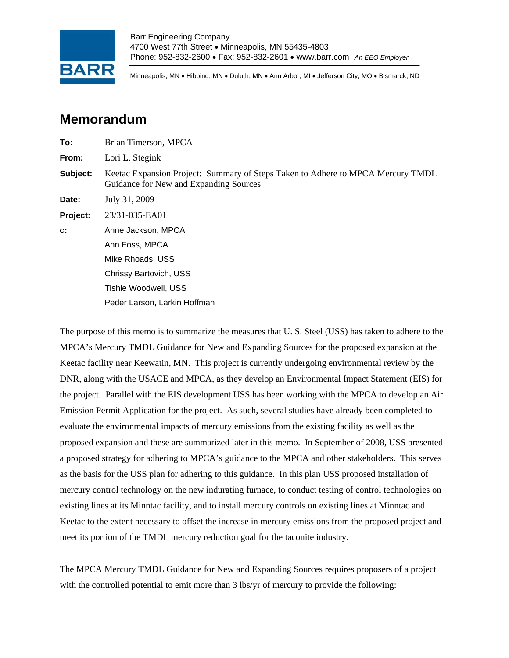

Minneapolis, MN • Hibbing, MN • Duluth, MN • Ann Arbor, MI • Jefferson City, MO • Bismarck, ND

## **Memorandum**

| To:      | Brian Timerson, MPCA                                                                                                      |  |  |  |
|----------|---------------------------------------------------------------------------------------------------------------------------|--|--|--|
| From:    | Lori L. Stegink                                                                                                           |  |  |  |
| Subject: | Keetac Expansion Project: Summary of Steps Taken to Adhere to MPCA Mercury TMDL<br>Guidance for New and Expanding Sources |  |  |  |
| Date:    | July 31, 2009                                                                                                             |  |  |  |
| Project: | 23/31-035-EA01                                                                                                            |  |  |  |
| c:       | Anne Jackson, MPCA                                                                                                        |  |  |  |
|          | Ann Foss, MPCA                                                                                                            |  |  |  |
|          | Mike Rhoads, USS                                                                                                          |  |  |  |
|          | Chrissy Bartovich, USS                                                                                                    |  |  |  |
|          | Tishie Woodwell, USS                                                                                                      |  |  |  |
|          | Peder Larson, Larkin Hoffman                                                                                              |  |  |  |
|          |                                                                                                                           |  |  |  |

The purpose of this memo is to summarize the measures that U. S. Steel (USS) has taken to adhere to the MPCA's Mercury TMDL Guidance for New and Expanding Sources for the proposed expansion at the Keetac facility near Keewatin, MN. This project is currently undergoing environmental review by the DNR, along with the USACE and MPCA, as they develop an Environmental Impact Statement (EIS) for the project. Parallel with the EIS development USS has been working with the MPCA to develop an Air Emission Permit Application for the project. As such, several studies have already been completed to evaluate the environmental impacts of mercury emissions from the existing facility as well as the proposed expansion and these are summarized later in this memo. In September of 2008, USS presented a proposed strategy for adhering to MPCA's guidance to the MPCA and other stakeholders. This serves as the basis for the USS plan for adhering to this guidance. In this plan USS proposed installation of mercury control technology on the new indurating furnace, to conduct testing of control technologies on existing lines at its Minntac facility, and to install mercury controls on existing lines at Minntac and Keetac to the extent necessary to offset the increase in mercury emissions from the proposed project and meet its portion of the TMDL mercury reduction goal for the taconite industry.

The MPCA Mercury TMDL Guidance for New and Expanding Sources requires proposers of a project with the controlled potential to emit more than 3 lbs/yr of mercury to provide the following: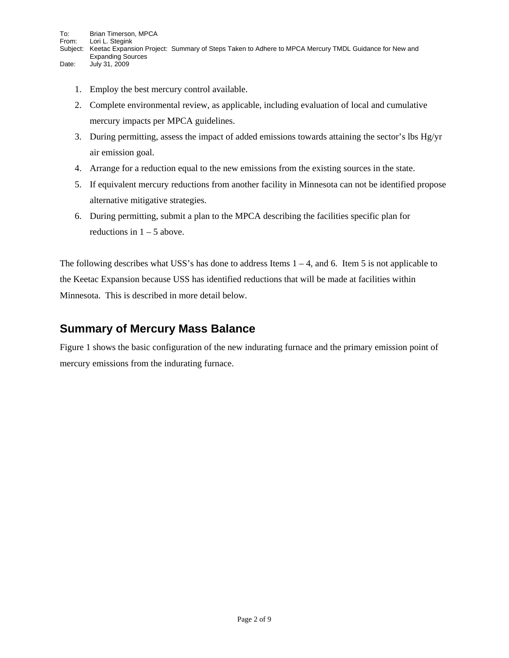- - 1. Employ the best mercury control available.
	- 2. Complete environmental review, as applicable, including evaluation of local and cumulative mercury impacts per MPCA guidelines.
	- 3. During permitting, assess the impact of added emissions towards attaining the sector's lbs Hg/yr air emission goal.
	- 4. Arrange for a reduction equal to the new emissions from the existing sources in the state.
	- 5. If equivalent mercury reductions from another facility in Minnesota can not be identified propose alternative mitigative strategies.
	- 6. During permitting, submit a plan to the MPCA describing the facilities specific plan for reductions in  $1 - 5$  above.

The following describes what USS's has done to address Items  $1 - 4$ , and 6. Item 5 is not applicable to the Keetac Expansion because USS has identified reductions that will be made at facilities within Minnesota. This is described in more detail below.

#### **Summary of Mercury Mass Balance**

Figure 1 shows the basic configuration of the new indurating furnace and the primary emission point of mercury emissions from the indurating furnace.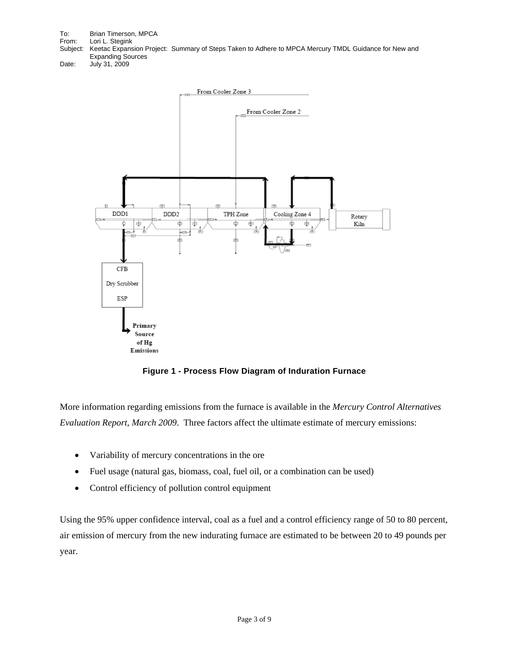To: Brian Timerson, MPCA From: Lori L. Stegink Subject: Keetac Expansion Project: Summary of Steps Taken to Adhere to MPCA Mercury TMDL Guidance for New and Expanding Sources Date: July 31, 2009



**Figure 1 - Process Flow Diagram of Induration Furnace** 

More information regarding emissions from the furnace is available in the *Mercury Control Alternatives Evaluation Report, March 2009*. Three factors affect the ultimate estimate of mercury emissions:

- Variability of mercury concentrations in the ore
- Fuel usage (natural gas, biomass, coal, fuel oil, or a combination can be used)
- Control efficiency of pollution control equipment

Using the 95% upper confidence interval, coal as a fuel and a control efficiency range of 50 to 80 percent, air emission of mercury from the new indurating furnace are estimated to be between 20 to 49 pounds per year.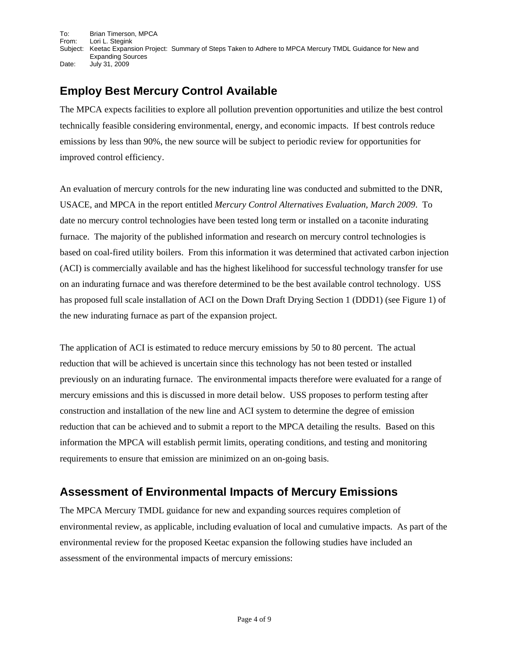To: Brian Timerson, MPCA From: Lori L. Stegink Subject: Keetac Expansion Project: Summary of Steps Taken to Adhere to MPCA Mercury TMDL Guidance for New and Expanding Sources Date: July 31, 2009

### **Employ Best Mercury Control Available**

The MPCA expects facilities to explore all pollution prevention opportunities and utilize the best control technically feasible considering environmental, energy, and economic impacts. If best controls reduce emissions by less than 90%, the new source will be subject to periodic review for opportunities for improved control efficiency.

An evaluation of mercury controls for the new indurating line was conducted and submitted to the DNR, USACE, and MPCA in the report entitled *Mercury Control Alternatives Evaluation, March 2009*. To date no mercury control technologies have been tested long term or installed on a taconite indurating furnace. The majority of the published information and research on mercury control technologies is based on coal-fired utility boilers. From this information it was determined that activated carbon injection (ACI) is commercially available and has the highest likelihood for successful technology transfer for use on an indurating furnace and was therefore determined to be the best available control technology. USS has proposed full scale installation of ACI on the Down Draft Drying Section 1 (DDD1) (see Figure 1) of the new indurating furnace as part of the expansion project.

The application of ACI is estimated to reduce mercury emissions by 50 to 80 percent. The actual reduction that will be achieved is uncertain since this technology has not been tested or installed previously on an indurating furnace. The environmental impacts therefore were evaluated for a range of mercury emissions and this is discussed in more detail below. USS proposes to perform testing after construction and installation of the new line and ACI system to determine the degree of emission reduction that can be achieved and to submit a report to the MPCA detailing the results. Based on this information the MPCA will establish permit limits, operating conditions, and testing and monitoring requirements to ensure that emission are minimized on an on-going basis.

#### **Assessment of Environmental Impacts of Mercury Emissions**

The MPCA Mercury TMDL guidance for new and expanding sources requires completion of environmental review, as applicable, including evaluation of local and cumulative impacts. As part of the environmental review for the proposed Keetac expansion the following studies have included an assessment of the environmental impacts of mercury emissions: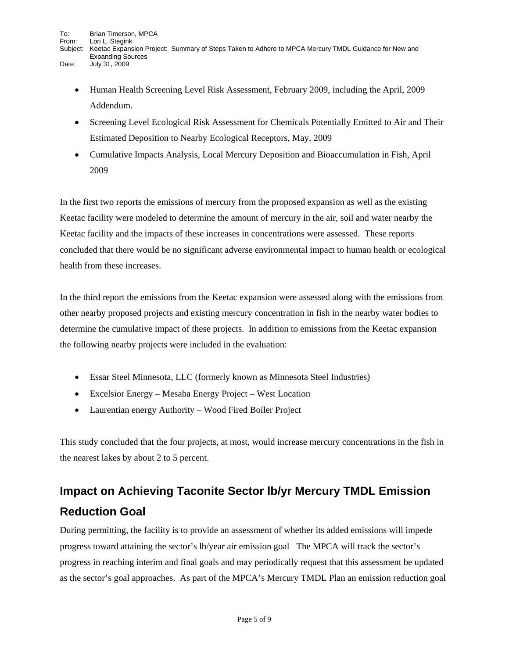- - Human Health Screening Level Risk Assessment, February 2009, including the April, 2009 Addendum.
	- Screening Level Ecological Risk Assessment for Chemicals Potentially Emitted to Air and Their Estimated Deposition to Nearby Ecological Receptors, May, 2009
	- Cumulative Impacts Analysis, Local Mercury Deposition and Bioaccumulation in Fish, April 2009

In the first two reports the emissions of mercury from the proposed expansion as well as the existing Keetac facility were modeled to determine the amount of mercury in the air, soil and water nearby the Keetac facility and the impacts of these increases in concentrations were assessed. These reports concluded that there would be no significant adverse environmental impact to human health or ecological health from these increases.

In the third report the emissions from the Keetac expansion were assessed along with the emissions from other nearby proposed projects and existing mercury concentration in fish in the nearby water bodies to determine the cumulative impact of these projects. In addition to emissions from the Keetac expansion the following nearby projects were included in the evaluation:

- Essar Steel Minnesota, LLC (formerly known as Minnesota Steel Industries)
- Excelsior Energy Mesaba Energy Project West Location
- Laurentian energy Authority Wood Fired Boiler Project

This study concluded that the four projects, at most, would increase mercury concentrations in the fish in the nearest lakes by about 2 to 5 percent.

# **Impact on Achieving Taconite Sector lb/yr Mercury TMDL Emission Reduction Goal**

During permitting, the facility is to provide an assessment of whether its added emissions will impede progress toward attaining the sector's lb/year air emission goal The MPCA will track the sector's progress in reaching interim and final goals and may periodically request that this assessment be updated as the sector's goal approaches. As part of the MPCA's Mercury TMDL Plan an emission reduction goal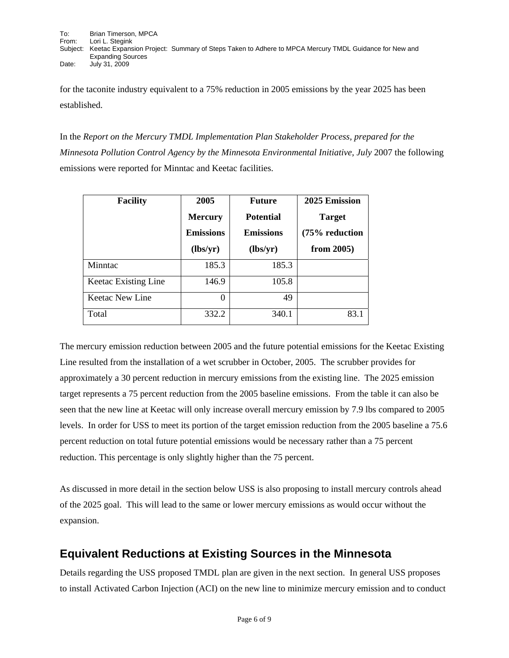for the taconite industry equivalent to a 75% reduction in 2005 emissions by the year 2025 has been established.

In the *Report on the Mercury TMDL Implementation Plan Stakeholder Process, prepared for the Minnesota Pollution Control Agency by the Minnesota Environmental Initiative, July* 2007 the following emissions were reported for Minntac and Keetac facilities.

| <b>Facility</b>      | 2005             | <b>Future</b>    | 2025 Emission  |
|----------------------|------------------|------------------|----------------|
|                      | <b>Mercury</b>   | <b>Potential</b> | <b>Target</b>  |
|                      | <b>Emissions</b> | <b>Emissions</b> | (75% reduction |
|                      | (lbs/yr)         | (lbs/yr)         | from $2005$ )  |
| Minntac              | 185.3            | 185.3            |                |
| Keetac Existing Line | 146.9            | 105.8            |                |
| Keetac New Line      | 0                | 49               |                |
| Total                | 332.2            | 340.1            | 83.1           |

The mercury emission reduction between 2005 and the future potential emissions for the Keetac Existing Line resulted from the installation of a wet scrubber in October, 2005. The scrubber provides for approximately a 30 percent reduction in mercury emissions from the existing line. The 2025 emission target represents a 75 percent reduction from the 2005 baseline emissions. From the table it can also be seen that the new line at Keetac will only increase overall mercury emission by 7.9 lbs compared to 2005 levels. In order for USS to meet its portion of the target emission reduction from the 2005 baseline a 75.6 percent reduction on total future potential emissions would be necessary rather than a 75 percent reduction. This percentage is only slightly higher than the 75 percent.

As discussed in more detail in the section below USS is also proposing to install mercury controls ahead of the 2025 goal. This will lead to the same or lower mercury emissions as would occur without the expansion.

#### **Equivalent Reductions at Existing Sources in the Minnesota**

Details regarding the USS proposed TMDL plan are given in the next section. In general USS proposes to install Activated Carbon Injection (ACI) on the new line to minimize mercury emission and to conduct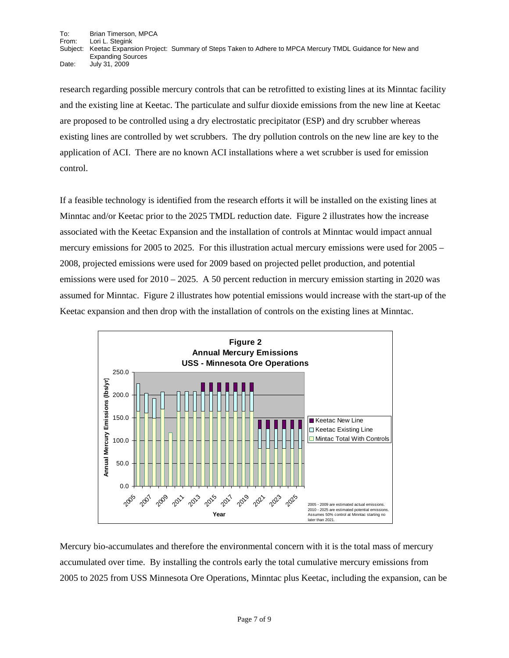To: Brian Timerson, MPCA From: Lori L. Stegink<br>Subject: Keetac Expans Keetac Expansion Project: Summary of Steps Taken to Adhere to MPCA Mercury TMDL Guidance for New and Expanding Sources Date: July 31, 2009

research regarding possible mercury controls that can be retrofitted to existing lines at its Minntac facility and the existing line at Keetac. The particulate and sulfur dioxide emissions from the new line at Keetac are proposed to be controlled using a dry electrostatic precipitator (ESP) and dry scrubber whereas existing lines are controlled by wet scrubbers. The dry pollution controls on the new line are key to the application of ACI. There are no known ACI installations where a wet scrubber is used for emission control.

If a feasible technology is identified from the research efforts it will be installed on the existing lines at Minntac and/or Keetac prior to the 2025 TMDL reduction date. Figure 2 illustrates how the increase associated with the Keetac Expansion and the installation of controls at Minntac would impact annual mercury emissions for 2005 to 2025. For this illustration actual mercury emissions were used for 2005 – 2008, projected emissions were used for 2009 based on projected pellet production, and potential emissions were used for  $2010 - 2025$ . A 50 percent reduction in mercury emission starting in 2020 was assumed for Minntac. Figure 2 illustrates how potential emissions would increase with the start-up of the Keetac expansion and then drop with the installation of controls on the existing lines at Minntac.



Mercury bio-accumulates and therefore the environmental concern with it is the total mass of mercury accumulated over time. By installing the controls early the total cumulative mercury emissions from 2005 to 2025 from USS Minnesota Ore Operations, Minntac plus Keetac, including the expansion, can be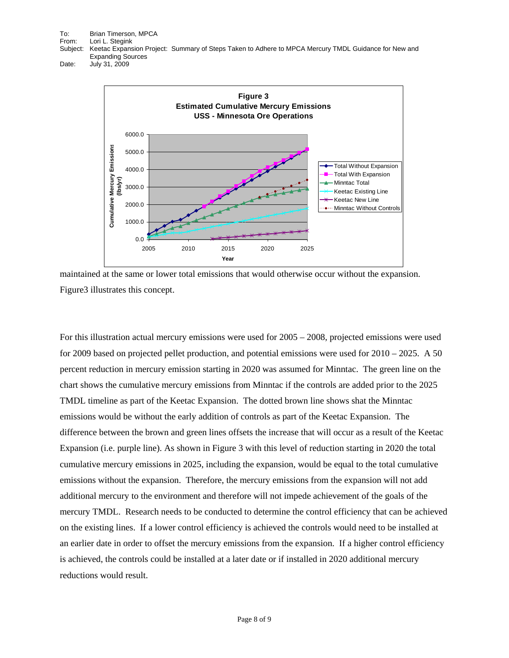To: Brian Timerson, MPCA From: Lori L. Stegink<br>Subject: Keetac Expans Keetac Expansion Project: Summary of Steps Taken to Adhere to MPCA Mercury TMDL Guidance for New and Expanding Sources

Date: July 31, 2009



maintained at the same or lower total emissions that would otherwise occur without the expansion. Figure3 illustrates this concept.

For this illustration actual mercury emissions were used for 2005 – 2008, projected emissions were used for 2009 based on projected pellet production, and potential emissions were used for 2010 – 2025. A 50 percent reduction in mercury emission starting in 2020 was assumed for Minntac. The green line on the chart shows the cumulative mercury emissions from Minntac if the controls are added prior to the 2025 TMDL timeline as part of the Keetac Expansion. The dotted brown line shows shat the Minntac emissions would be without the early addition of controls as part of the Keetac Expansion. The difference between the brown and green lines offsets the increase that will occur as a result of the Keetac Expansion (i.e. purple line). As shown in Figure 3 with this level of reduction starting in 2020 the total cumulative mercury emissions in 2025, including the expansion, would be equal to the total cumulative emissions without the expansion. Therefore, the mercury emissions from the expansion will not add additional mercury to the environment and therefore will not impede achievement of the goals of the mercury TMDL. Research needs to be conducted to determine the control efficiency that can be achieved on the existing lines. If a lower control efficiency is achieved the controls would need to be installed at an earlier date in order to offset the mercury emissions from the expansion. If a higher control efficiency is achieved, the controls could be installed at a later date or if installed in 2020 additional mercury reductions would result.